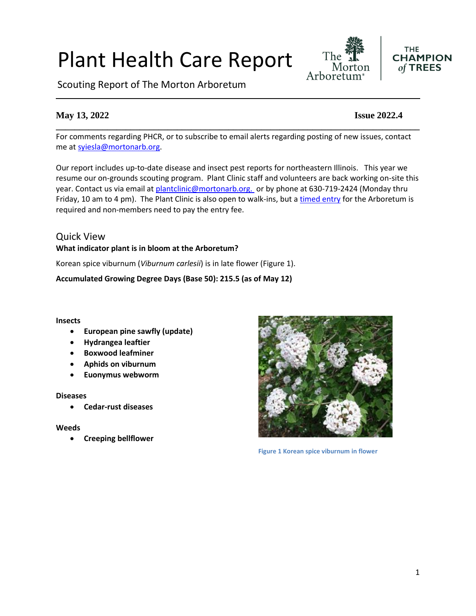# Plant Health Care Report

Scouting Report of The Morton Arboretum

# **May 13, 2022 Issue 2022.4**

For comments regarding PHCR, or to subscribe to email alerts regarding posting of new issues, contact me at [syiesla@mortonarb.org.](mailto:syiesla@mortonarb.org)

**\_\_\_\_\_\_\_\_\_\_\_\_\_\_\_\_\_\_\_\_\_\_\_\_\_\_\_\_\_\_\_\_\_\_\_\_\_\_\_\_\_\_\_\_\_\_\_\_\_\_\_\_\_\_\_\_\_\_\_\_\_\_\_\_\_\_\_\_\_\_\_\_\_\_\_\_\_\_**

Our report includes up-to-date disease and insect pest reports for northeastern Illinois. This year we resume our on-grounds scouting program. Plant Clinic staff and volunteers are back working on-site this year. Contact us via email at [plantclinic@mortonarb.org.](mailto:plantclinic@mortonarb.org) or by phone at 630-719-2424 (Monday thru Friday, 10 am to 4 pm). The Plant Clinic is also open to walk-ins, but a [timed entry](https://mortonarb.org/visit-the-arboretum) for the Arboretum is required and non-members need to pay the entry fee.

# Quick View **What indicator plant is in bloom at the Arboretum?**

Korean spice viburnum (*Viburnum carlesii*) is in late flower (Figure 1).

**Accumulated Growing Degree Days (Base 50): 215.5 (as of May 12)**

#### **Insects**

- **European pine sawfly (update)**
- **Hydrangea leaftier**
- **Boxwood leafminer**
- **Aphids on viburnum**
- **Euonymus webworm**

#### **Diseases**

• **Cedar-rust diseases**

#### **Weeds**

• **Creeping bellflower**



**Figure 1 Korean spice viburnum in flower**



**THE** 

 $of$  TREES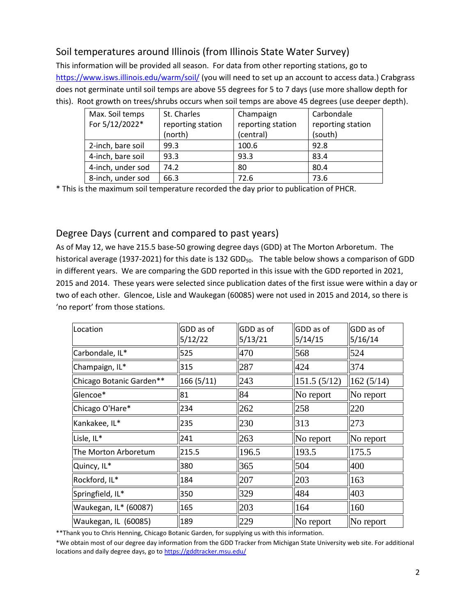# Soil temperatures around Illinois (from Illinois State Water Survey)

This information will be provided all season. For data from other reporting stations, go to <https://www.isws.illinois.edu/warm/soil/> (you will need to set up an account to access data.) Crabgrass does not germinate until soil temps are above 55 degrees for 5 to 7 days (use more shallow depth for this). Root growth on trees/shrubs occurs when soil temps are above 45 degrees (use deeper depth).

| Max. Soil temps   | St. Charles       | Champaign         | Carbondale        |
|-------------------|-------------------|-------------------|-------------------|
| For 5/12/2022*    | reporting station | reporting station | reporting station |
|                   | (north)           | (central)         | (south)           |
| 2-inch, bare soil | 99.3              | 100.6             | 92.8              |
| 4-inch, bare soil | 93.3              | 93.3              | 83.4              |
| 4-inch, under sod | 74.2              | 80                | 80.4              |
| 8-inch, under sod | 66.3              | 72.6              | 73.6              |

\* This is the maximum soil temperature recorded the day prior to publication of PHCR.

# Degree Days (current and compared to past years)

As of May 12, we have 215.5 base-50 growing degree days (GDD) at The Morton Arboretum. The historical average (1937-2021) for this date is 132 GDD<sub>50</sub>. The table below shows a comparison of GDD in different years. We are comparing the GDD reported in this issue with the GDD reported in 2021, 2015 and 2014. These years were selected since publication dates of the first issue were within a day or two of each other. Glencoe, Lisle and Waukegan (60085) were not used in 2015 and 2014, so there is 'no report' from those stations.

| Location                 | GDD as of<br>5/12/22 | GDD as of<br>5/13/21 | GDD as of<br>5/14/15 | GDD as of<br>5/16/14 |
|--------------------------|----------------------|----------------------|----------------------|----------------------|
| Carbondale, IL*          | 525                  | 470                  | 568                  | 524                  |
| Champaign, IL*           | 315                  | 287                  | 424                  | 374                  |
| Chicago Botanic Garden** | 166 (5/11)           | 243                  | 151.5(5/12)          | 162(5/14)            |
| Glencoe*                 | 81                   | 84                   | No report            | No report            |
| Chicago O'Hare*          | 234                  | 262                  | 258                  | 220                  |
| Kankakee, IL*            | 235                  | 230                  | 313                  | 273                  |
| Lisle, IL*               | 241                  | 263                  | No report            | No report            |
| The Morton Arboretum     | 215.5                | 196.5                | 193.5                | 175.5                |
| Quincy, IL*              | 380                  | 365                  | 504                  | 400                  |
| Rockford, IL*            | 184                  | 207                  | 203                  | 163                  |
| Springfield, IL*         | 350                  | 329                  | 484                  | 403                  |
| Waukegan, IL* (60087)    | 165                  | 203                  | 164                  | 160                  |
| Waukegan, IL (60085)     | 189                  | 229                  | No report            | No report            |

\*\*Thank you to Chris Henning, Chicago Botanic Garden, for supplying us with this information.

\*We obtain most of our degree day information from the GDD Tracker from Michigan State University web site. For additional locations and daily degree days, go to <https://gddtracker.msu.edu/>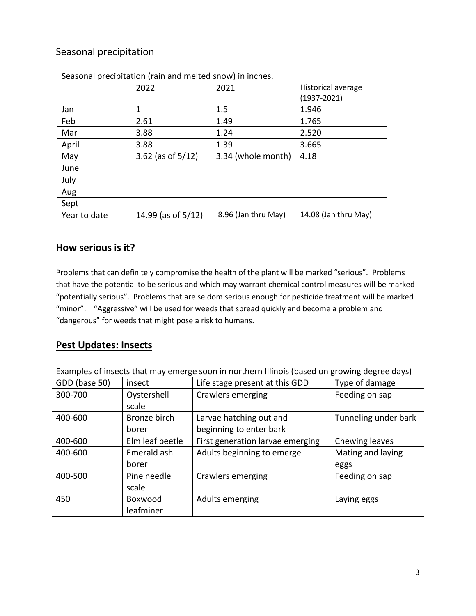# Seasonal precipitation

| Seasonal precipitation (rain and melted snow) in inches. |                      |                     |                      |  |
|----------------------------------------------------------|----------------------|---------------------|----------------------|--|
|                                                          | 2022                 | 2021                | Historical average   |  |
|                                                          |                      |                     | $(1937 - 2021)$      |  |
| Jan                                                      | 1                    | 1.5                 | 1.946                |  |
| Feb                                                      | 2.61                 | 1.49                | 1.765                |  |
| Mar                                                      | 3.88                 | 1.24                | 2.520                |  |
| April                                                    | 3.88                 | 1.39                | 3.665                |  |
| May                                                      | 3.62 (as of $5/12$ ) | 3.34 (whole month)  | 4.18                 |  |
| June                                                     |                      |                     |                      |  |
| July                                                     |                      |                     |                      |  |
| Aug                                                      |                      |                     |                      |  |
| Sept                                                     |                      |                     |                      |  |
| Year to date                                             | 14.99 (as of 5/12)   | 8.96 (Jan thru May) | 14.08 (Jan thru May) |  |

# **How serious is it?**

Problems that can definitely compromise the health of the plant will be marked "serious".Problems that have the potential to be serious and which may warrant chemical control measures will be marked "potentially serious". Problems that are seldom serious enough for pesticide treatment will be marked "minor". "Aggressive" will be used for weeds that spread quickly and become a problem and "dangerous" for weeds that might pose a risk to humans.

# **Pest Updates: Insects**

| Examples of insects that may emerge soon in northern Illinois (based on growing degree days) |                 |                                  |                      |
|----------------------------------------------------------------------------------------------|-----------------|----------------------------------|----------------------|
| GDD (base 50)                                                                                | insect          | Life stage present at this GDD   | Type of damage       |
| 300-700                                                                                      | Oystershell     | Crawlers emerging                | Feeding on sap       |
|                                                                                              | scale           |                                  |                      |
| 400-600                                                                                      | Bronze birch    | Larvae hatching out and          | Tunneling under bark |
|                                                                                              | borer           | beginning to enter bark          |                      |
| 400-600                                                                                      | Elm leaf beetle | First generation larvae emerging | Chewing leaves       |
| 400-600                                                                                      | Emerald ash     | Adults beginning to emerge       | Mating and laying    |
|                                                                                              | borer           |                                  | eggs                 |
| 400-500                                                                                      | Pine needle     | Crawlers emerging                | Feeding on sap       |
|                                                                                              | scale           |                                  |                      |
| 450                                                                                          | Boxwood         | Adults emerging                  | Laying eggs          |
|                                                                                              | leafminer       |                                  |                      |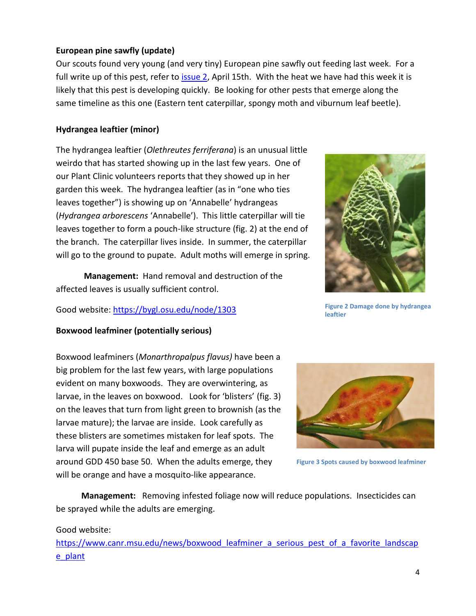#### **European pine sawfly (update)**

Our scouts found very young (and very tiny) European pine sawfly out feeding last week. For a full write up of this pest, refer to [issue 2,](https://mortonarb.org/app/uploads/2022/04/Plant_Health_Care_Report_2022_2.pdf) April 15th. With the heat we have had this week it is likely that this pest is developing quickly. Be looking for other pests that emerge along the same timeline as this one (Eastern tent caterpillar, spongy moth and viburnum leaf beetle).

#### **Hydrangea leaftier (minor)**

The hydrangea leaftier (*Olethreutes ferriferana*) is an unusual little weirdo that has started showing up in the last few years. One of our Plant Clinic volunteers reports that they showed up in her garden this week. The hydrangea leaftier (as in "one who ties leaves together") is showing up on 'Annabelle' hydrangeas (*Hydrangea arborescens* 'Annabelle'). This little caterpillar will tie leaves together to form a pouch-like structure (fig. 2) at the end of the branch. The caterpillar lives inside. In summer, the caterpillar will go to the ground to pupate. Adult moths will emerge in spring.

**Management:** Hand removal and destruction of the affected leaves is usually sufficient control.

Good website:<https://bygl.osu.edu/node/1303>

#### **Boxwood leafminer (potentially serious)**

Boxwood leafminers (*Monarthropalpus flavus)* have been a big problem for the last few years, with large populations evident on many boxwoods. They are overwintering, as larvae, in the leaves on boxwood. Look for 'blisters' (fig. 3) on the leaves that turn from light green to brownish (as the larvae mature); the larvae are inside. Look carefully as these blisters are sometimes mistaken for leaf spots. The larva will pupate inside the leaf and emerge as an adult around GDD 450 base 50. When the adults emerge, they will be orange and have a mosquito-like appearance.

 **Management:** Removing infested foliage now will reduce populations. Insecticides can be sprayed while the adults are emerging.

#### Good website:

https://www.canr.msu.edu/news/boxwood leafminer a serious pest of a favorite landscap [e\\_plant](https://www.canr.msu.edu/news/boxwood_leafminer_a_serious_pest_of_a_favorite_landscape_plant)



**Figure 2 Damage done by hydrangea leaftier**



**Figure 3 Spots caused by boxwood leafminer**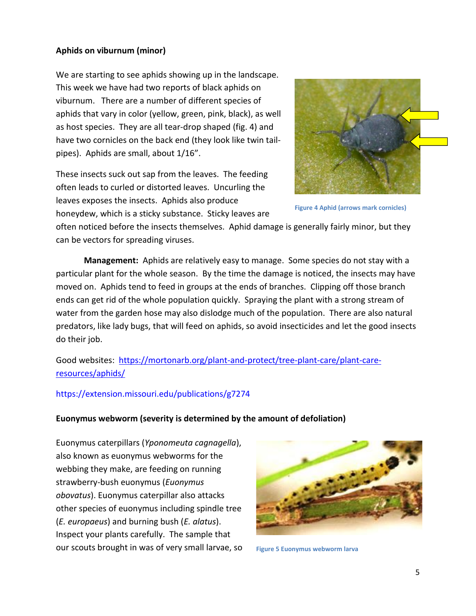#### **Aphids on viburnum (minor)**

We are starting to see aphids showing up in the landscape. This week we have had two reports of black aphids on viburnum. There are a number of different species of aphids that vary in color (yellow, green, pink, black), as well as host species. They are all tear-drop shaped (fig. 4) and have two cornicles on the back end (they look like twin tailpipes). Aphids are small, about 1/16".

These insects suck out sap from the leaves. The feeding often leads to curled or distorted leaves. Uncurling the leaves exposes the insects. Aphids also produce honeydew, which is a sticky substance. Sticky leaves are



**Figure 4 Aphid (arrows mark cornicles)**

often noticed before the insects themselves. Aphid damage is generally fairly minor, but they can be vectors for spreading viruses.

**Management:** Aphids are relatively easy to manage. Some species do not stay with a particular plant for the whole season. By the time the damage is noticed, the insects may have moved on. Aphids tend to feed in groups at the ends of branches. Clipping off those branch ends can get rid of the whole population quickly. Spraying the plant with a strong stream of water from the garden hose may also dislodge much of the population. There are also natural predators, like lady bugs, that will feed on aphids, so avoid insecticides and let the good insects do their job.

Good websites: [https://mortonarb.org/plant-and-protect/tree-plant-care/plant-care](https://mortonarb.org/plant-and-protect/tree-plant-care/plant-care-resources/aphids/)[resources/aphids/](https://mortonarb.org/plant-and-protect/tree-plant-care/plant-care-resources/aphids/)

#### <https://extension.missouri.edu/publications/g7274>

#### **Euonymus webworm (severity is determined by the amount of defoliation)**

Euonymus caterpillars (*Yponomeuta cagnagella*), also known as euonymus webworms for the webbing they make, are feeding on running strawberry-bush euonymus (*Euonymus obovatus*). Euonymus caterpillar also attacks other species of euonymus including spindle tree (*E. europaeus*) and burning bush (*E. alatus*). Inspect your plants carefully. The sample that our scouts brought in was of very small larvae, so



**Figure 5 Euonymus webworm larva**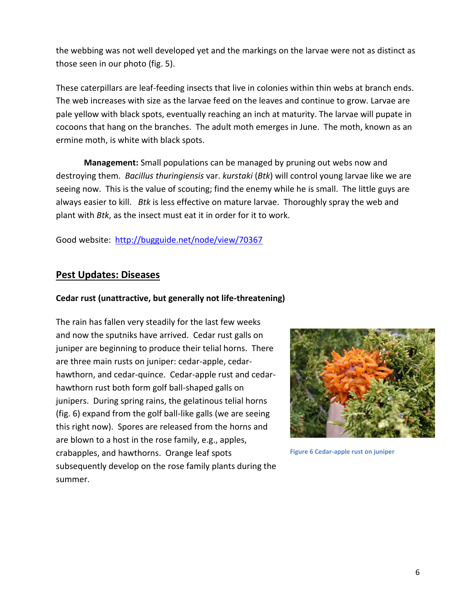the webbing was not well developed yet and the markings on the larvae were not as distinct as those seen in our photo (fig. 5).

These caterpillars are leaf-feeding insects that live in colonies within thin webs at branch ends. The web increases with size as the larvae feed on the leaves and continue to grow. Larvae are pale yellow with black spots, eventually reaching an inch at maturity. The larvae will pupate in cocoons that hang on the branches. The adult moth emerges in June. The moth, known as an ermine moth, is white with black spots.

**Management:** Small populations can be managed by pruning out webs now and destroying them. *Bacillus thuringiensis* var. *kurstaki* (*Btk*) will control young larvae like we are seeing now. This is the value of scouting; find the enemy while he is small. The little guys are always easier to kill. *Btk* is less effective on mature larvae. Thoroughly spray the web and plant with *Btk*, as the insect must eat it in order for it to work.

Good website:<http://bugguide.net/node/view/70367>

# **Pest Updates: Diseases**

#### **Cedar rust (unattractive, but generally not life-threatening)**

The rain has fallen very steadily for the last few weeks and now the sputniks have arrived. Cedar rust galls on juniper are beginning to produce their telial horns. There are three main rusts on juniper: cedar-apple, cedarhawthorn, and cedar-quince. Cedar-apple rust and cedarhawthorn rust both form golf ball-shaped galls on junipers. During spring rains, the gelatinous telial horns (fig. 6) expand from the golf ball-like galls (we are seeing this right now). Spores are released from the horns and are blown to a host in the rose family, e.g., apples, crabapples, and hawthorns. Orange leaf spots subsequently develop on the rose family plants during the summer.



**Figure 6 Cedar-apple rust on juniper**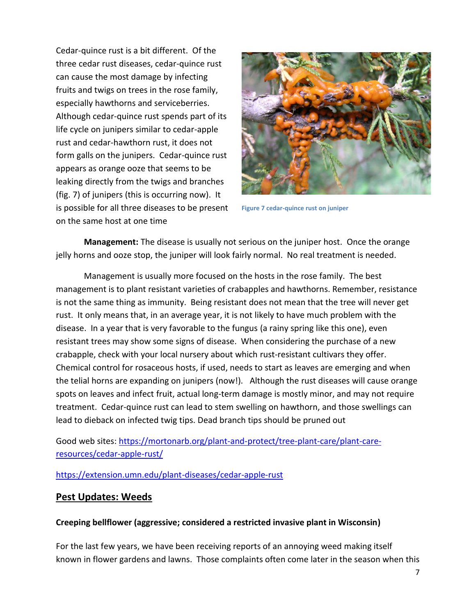Cedar-quince rust is a bit different. Of the three cedar rust diseases, cedar-quince rust can cause the most damage by infecting fruits and twigs on trees in the rose family, especially hawthorns and serviceberries. Although cedar-quince rust spends part of its life cycle on junipers similar to cedar-apple rust and cedar-hawthorn rust, it does not form galls on the junipers. Cedar-quince rust appears as orange ooze that seems to be leaking directly from the twigs and branches (fig. 7) of junipers (this is occurring now). It is possible for all three diseases to be present on the same host at one time



**Figure 7 cedar-quince rust on juniper**

**Management:** The disease is usually not serious on the juniper host. Once the orange jelly horns and ooze stop, the juniper will look fairly normal. No real treatment is needed.

Management is usually more focused on the hosts in the rose family. The best management is to plant resistant varieties of crabapples and hawthorns. Remember, resistance is not the same thing as immunity. Being resistant does not mean that the tree will never get rust. It only means that, in an average year, it is not likely to have much problem with the disease. In a year that is very favorable to the fungus (a rainy spring like this one), even resistant trees may show some signs of disease. When considering the purchase of a new crabapple, check with your local nursery about which rust-resistant cultivars they offer. Chemical control for rosaceous hosts, if used, needs to start as leaves are emerging and when the telial horns are expanding on junipers (now!). Although the rust diseases will cause orange spots on leaves and infect fruit, actual long-term damage is mostly minor, and may not require treatment. Cedar-quince rust can lead to stem swelling on hawthorn, and those swellings can lead to dieback on infected twig tips. Dead branch tips should be pruned out

# Good web sites: [https://mortonarb.org/plant-and-protect/tree-plant-care/plant-care](https://mortonarb.org/plant-and-protect/tree-plant-care/plant-care-resources/cedar-apple-rust/)[resources/cedar-apple-rust/](https://mortonarb.org/plant-and-protect/tree-plant-care/plant-care-resources/cedar-apple-rust/)

<https://extension.umn.edu/plant-diseases/cedar-apple-rust>

### **Pest Updates: Weeds**

### **Creeping bellflower (aggressive; considered a restricted invasive plant in Wisconsin)**

For the last few years, we have been receiving reports of an annoying weed making itself known in flower gardens and lawns. Those complaints often come later in the season when this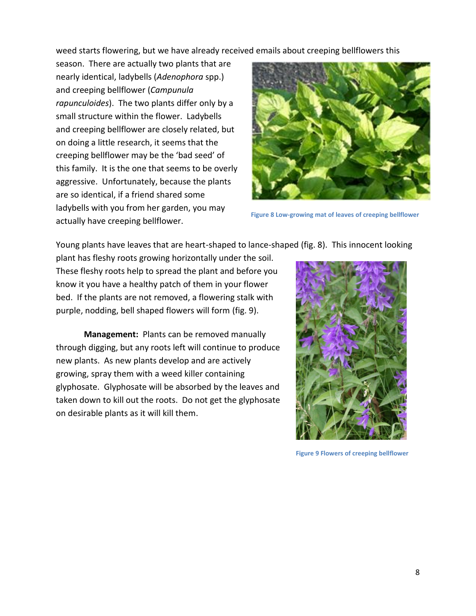weed starts flowering, but we have already received emails about creeping bellflowers this

season. There are actually two plants that are nearly identical, ladybells (*Adenophora* spp.) and creeping bellflower (*Campunula rapunculoides*). The two plants differ only by a small structure within the flower. Ladybells and creeping bellflower are closely related, but on doing a little research, it seems that the creeping bellflower may be the 'bad seed' of this family. It is the one that seems to be overly aggressive. Unfortunately, because the plants are so identical, if a friend shared some ladybells with you from her garden, you may actually have creeping bellflower.



**Figure 8 Low-growing mat of leaves of creeping bellflower**

Young plants have leaves that are heart-shaped to lance-shaped (fig. 8). This innocent looking

plant has fleshy roots growing horizontally under the soil. These fleshy roots help to spread the plant and before you know it you have a healthy patch of them in your flower bed. If the plants are not removed, a flowering stalk with purple, nodding, bell shaped flowers will form (fig. 9).

**Management:** Plants can be removed manually through digging, but any roots left will continue to produce new plants. As new plants develop and are actively growing, spray them with a weed killer containing glyphosate. Glyphosate will be absorbed by the leaves and taken down to kill out the roots. Do not get the glyphosate on desirable plants as it will kill them.



**Figure 9 Flowers of creeping bellflower**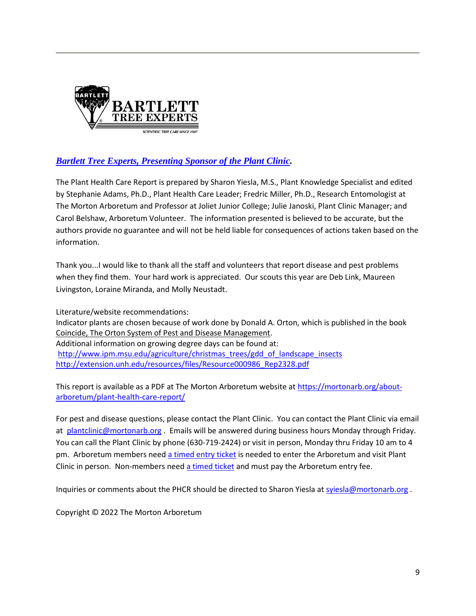

# *[Bartlett Tree Experts, Presenting Sponsor of the Plant Clinic.](https://www.bartlett.com/)*

The Plant Health Care Report is prepared by Sharon Yiesla, M.S., Plant Knowledge Specialist and edited by Stephanie Adams, Ph.D., Plant Health Care Leader; Fredric Miller, Ph.D., Research Entomologist at The Morton Arboretum and Professor at Joliet Junior College; Julie Janoski, Plant Clinic Manager; and Carol Belshaw, Arboretum Volunteer. The information presented is believed to be accurate, but the authors provide no guarantee and will not be held liable for consequences of actions taken based on the information.

Thank you...I would like to thank all the staff and volunteers that report disease and pest problems when they find them. Your hard work is appreciated. Our scouts this year are Deb Link, Maureen Livingston, Loraine Miranda, and Molly Neustadt.

Literature/website recommendations: Indicator plants are chosen because of work done by Donald A. Orton, which is published in the book Coincide, The Orton System of Pest and Disease Management. Additional information on growing degree days can be found at: [http://www.ipm.msu.edu/agriculture/christmas\\_trees/gdd\\_of\\_landscape\\_insects](http://www.ipm.msu.edu/agriculture/christmas_trees/gdd_of_landscape_insects) [http://extension.unh.edu/resources/files/Resource000986\\_Rep2328.pdf](http://extension.unh.edu/resources/files/Resource000986_Rep2328.pdf)

This report is available as a PDF at The Morton Arboretum website a[t https://mortonarb.org/about](https://mortonarb.org/about-arboretum/plant-health-care-report/)[arboretum/plant-health-care-report/](https://mortonarb.org/about-arboretum/plant-health-care-report/)

For pest and disease questions, please contact the Plant Clinic. You can contact the Plant Clinic via email at [plantclinic@mortonarb.org](mailto:plantclinic@mortonarb.org) . Emails will be answered during business hours Monday through Friday. You can call the Plant Clinic by phone (630-719-2424) or visit in person, Monday thru Friday 10 am to 4 pm. Arboretum members need [a timed entry ticket](https://mortonarb.org/visit-the-arboretum) is needed to enter the Arboretum and visit Plant Clinic in person. Non-members need [a timed ticket](https://mortonarb.org/visit-the-arboretum) and must pay the Arboretum entry fee.

Inquiries or comments about the PHCR should be directed to Sharon Yiesla a[t syiesla@mortonarb.org](mailto:syiesla@mortonarb.org).

Copyright © 2022 The Morton Arboretum